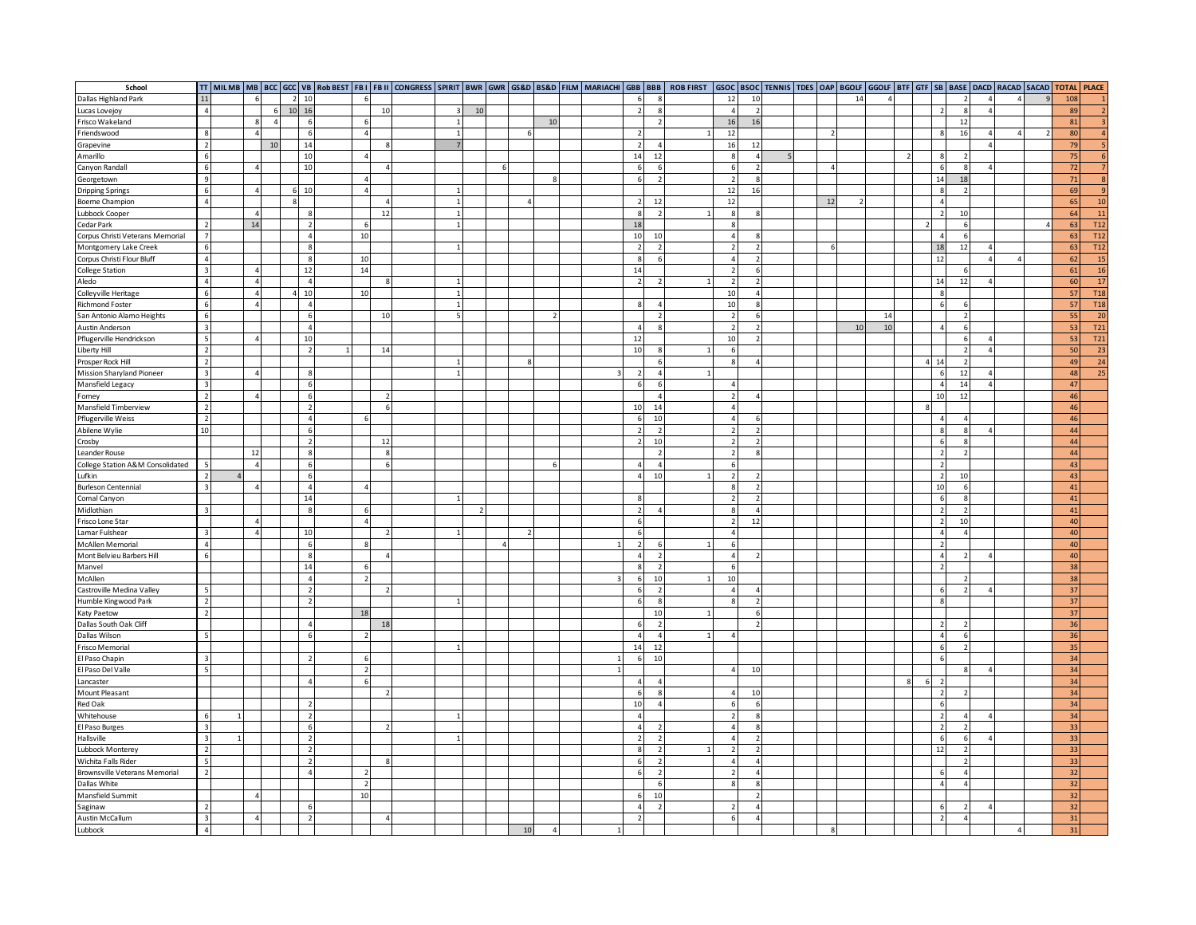| School                           |                          |                |                |           |                          |                          |                |   |                          |    |                |   |                          |                |                          |                          |  |    |    |                |                   |                          |                          |                |                | TT   MILMB   MB   BCC   GCC   VB   RobBEST   FB    FB    CONGRESS   SPIRIT   BWR   GWR   GS&D   BS&D   FILM   MARIACHI   GBB   BBB   ROB FIRST   GSOC   BTOL   STOC   ERNIS   JTDES   OAP   BGOLF   GTF   GTF   SB   BASE   DA |
|----------------------------------|--------------------------|----------------|----------------|-----------|--------------------------|--------------------------|----------------|---|--------------------------|----|----------------|---|--------------------------|----------------|--------------------------|--------------------------|--|----|----|----------------|-------------------|--------------------------|--------------------------|----------------|----------------|--------------------------------------------------------------------------------------------------------------------------------------------------------------------------------------------------------------------------------|
| Dallas Highland Park             | 11                       |                |                |           | 2 10                     |                          |                |   |                          |    |                |   |                          |                | 12                       | 10                       |  |    | 14 | $\overline{A}$ |                   |                          | $\overline{z}$           | $\Delta$       |                | 108                                                                                                                                                                                                                            |
| Lucas Lovejoy                    | $\overline{a}$           |                | 6              |           | 10 16                    |                          | 10             |   | 10                       |    |                |   |                          | $\mathbf{R}$   | $\overline{4}$           |                          |  |    |    |                |                   | $\overline{z}$           | $\boldsymbol{8}$         | 4              |                | 89<br>$\overline{2}$                                                                                                                                                                                                           |
| Frisco Wakeland                  |                          | 8              | $\overline{a}$ |           | 6                        | 6                        |                | 1 |                          |    | 10             |   |                          |                | 16                       | 16                       |  |    |    |                |                   |                          | 12                       |                |                | 81<br>$\ensuremath{\mathsf{3}}$                                                                                                                                                                                                |
| Friendswood                      | 8                        | $\overline{4}$ |                |           | 6                        | $\overline{4}$           |                |   |                          |    |                |   |                          |                | 12                       |                          |  |    |    |                |                   | 8                        | 16                       | 4              | $\overline{4}$ | $\overline{4}$<br>80                                                                                                                                                                                                           |
| Grapevine                        | $\overline{\phantom{a}}$ |                | 10             |           | 14                       |                          |                |   |                          |    |                |   |                          | $\Lambda$      | 16                       | 12                       |  |    |    |                |                   |                          |                          | $\overline{A}$ |                | 79                                                                                                                                                                                                                             |
| Amarillo                         | 6                        |                |                |           | 10                       | $\overline{4}$           |                |   |                          |    |                |   | 14                       | 12             |                          |                          |  |    |    |                |                   | $\mathbf{a}$             |                          |                |                | 75<br>6                                                                                                                                                                                                                        |
| Canyon Randall                   | 6                        | $\overline{4}$ |                |           | 10                       |                          | $\Lambda$      |   |                          |    |                |   |                          | 6              | -6                       | $\overline{\phantom{a}}$ |  |    |    |                |                   | $\epsilon$               | 8                        |                |                | 72<br>$\overline{7}$                                                                                                                                                                                                           |
| Georgetown                       | $\overline{9}$           |                |                |           |                          | $\overline{4}$           |                |   |                          |    |                |   |                          | $\overline{2}$ | $\overline{z}$           | $\mathbf{R}$             |  |    |    |                |                   | 14                       | 18                       |                |                | 71<br>$\mathbf{8}$                                                                                                                                                                                                             |
| <b>Dripping Springs</b>          | - 6                      | $\overline{4}$ |                |           | 10                       | $\overline{4}$           |                |   |                          |    |                |   |                          |                | 12                       | 16                       |  |    |    |                |                   | 8                        | $\overline{\phantom{a}}$ |                |                | 69<br>$\overline{9}$                                                                                                                                                                                                           |
| Boerne Champion                  | $\overline{a}$           |                |                |           |                          |                          | $\overline{4}$ |   |                          |    |                |   |                          | 12             | 12                       |                          |  | 12 |    |                |                   | $\overline{4}$           |                          |                |                | 10<br>65                                                                                                                                                                                                                       |
| Lubbock Cooper                   |                          | $\overline{4}$ |                |           | $\mathbf{g}$             |                          | 12             |   |                          |    |                |   |                          | $\overline{2}$ | 8                        | $\mathbf{R}$             |  |    |    |                |                   | $\overline{z}$           | 10                       |                |                | 11<br>64                                                                                                                                                                                                                       |
| Cedar Park                       | $\overline{\phantom{a}}$ | 14             |                |           | $\overline{2}$           | 6                        |                |   |                          |    |                |   | 18                       |                | $\mathbf{R}$             |                          |  |    |    |                | $\overline{z}$    |                          | 6                        |                |                | 63<br><b>T12</b>                                                                                                                                                                                                               |
| Corpus Christi Veterans Memorial |                          |                |                |           | $\Delta$                 | 10                       |                |   |                          |    |                |   | 10                       | 10             | $\overline{4}$           |                          |  |    |    |                |                   | $\overline{4}$           | 6                        |                |                | <b>T12</b><br>63                                                                                                                                                                                                               |
| Montgomery Lake Creek            | 6                        |                |                |           | 8                        |                          |                |   |                          |    |                |   |                          |                | $\overline{z}$           | $\overline{2}$           |  |    |    |                |                   | 18                       | $12\,$                   | $\Delta$       |                | 63<br><b>T12</b>                                                                                                                                                                                                               |
| Corpus Christi Flour Bluff       | $\overline{a}$           |                |                |           | $\boldsymbol{8}$         | 10                       |                |   |                          |    |                |   |                          | 6              | $\overline{4}$           | $\overline{\phantom{a}}$ |  |    |    |                |                   | 12                       |                          | 4              | $\Delta$       | <b>15</b><br>62                                                                                                                                                                                                                |
| <b>College Station</b>           | $\overline{3}$           | $\overline{4}$ |                |           | 12                       | 14                       |                |   |                          |    |                |   | 14                       |                | $\overline{\phantom{a}}$ | 6                        |  |    |    |                |                   |                          | 6                        |                |                | 61<br>16                                                                                                                                                                                                                       |
| Aledo                            | $\overline{a}$           | $\overline{4}$ |                |           | $\overline{4}$           |                          | $\mathbf{R}$   |   |                          |    |                |   |                          | $\overline{ }$ | $\overline{2}$           | $\overline{z}$           |  |    |    |                |                   | 14                       | 12                       | $\overline{a}$ |                | 17<br>60                                                                                                                                                                                                                       |
| Colleyville Heritage             | 6                        | $\overline{4}$ |                | $\Lambda$ | 10                       | 10                       |                |   |                          |    |                |   |                          |                | 10                       | $\overline{a}$           |  |    |    |                |                   | $\mathbf{R}$             |                          |                |                | <b>T18</b><br>57                                                                                                                                                                                                               |
| Richmond Foster                  | 6                        | $\Delta$       |                |           | $\overline{4}$           |                          |                |   |                          |    |                |   |                          | $\overline{a}$ | 10                       |                          |  |    |    |                |                   |                          | $\overline{6}$           |                |                | 57<br><b>T18</b>                                                                                                                                                                                                               |
|                                  | $\epsilon$               |                |                |           | $\epsilon$               |                          |                |   |                          |    |                |   |                          |                |                          |                          |  |    |    |                |                   |                          | $\overline{z}$           |                |                | 55                                                                                                                                                                                                                             |
| San Antonio Alamo Heights        | $\overline{\mathbf{z}}$  |                |                |           | $\overline{4}$           |                          | 10             |   |                          |    |                |   |                          |                |                          |                          |  |    |    | 14             |                   | $\overline{4}$           | 6                        |                |                | $\overline{20}$                                                                                                                                                                                                                |
| Austin Anderson                  |                          |                |                |           |                          |                          |                |   |                          |    |                |   | $\Delta$                 |                | $\overline{\phantom{a}}$ |                          |  |    | 10 | 10             |                   |                          |                          |                |                | 53<br><b>T21</b>                                                                                                                                                                                                               |
| Pflugerville Hendrickson         | 5                        | $\overline{4}$ |                |           | 10                       |                          |                |   |                          |    |                |   | 12                       |                | 10                       | $\overline{z}$           |  |    |    |                |                   |                          | 6                        |                |                | T21<br>53                                                                                                                                                                                                                      |
| Liberty Hill                     | $\overline{z}$           |                |                |           | $\overline{z}$           |                          | 14             |   |                          |    |                |   | 10                       | 9              | -6                       |                          |  |    |    |                |                   |                          | $\overline{2}$           | $\overline{a}$ |                | 23<br>50                                                                                                                                                                                                                       |
| Prosper Rock Hill                | $\overline{2}$           |                |                |           |                          |                          |                |   |                          |    |                |   |                          |                | 8                        |                          |  |    |    |                | 4 <sup>1</sup>    | 14                       | $\overline{2}$           |                |                | 24<br>49                                                                                                                                                                                                                       |
| Mission Sharyland Pioneer        | $\overline{\mathbf{3}}$  | $\overline{4}$ |                |           | $\mathbf{R}$             |                          |                | 1 |                          |    |                |   |                          | $\Delta$       |                          |                          |  |    |    |                |                   | 6                        | 12                       | $\Delta$       |                | 48<br>25                                                                                                                                                                                                                       |
| Mansfield Legacy                 | $\overline{\mathbf{3}}$  |                |                |           | 6                        |                          |                |   |                          |    |                |   | 6                        | 6              | $\overline{4}$           |                          |  |    |    |                |                   | $\overline{4}$           | 14                       | $\overline{4}$ |                | 47                                                                                                                                                                                                                             |
| Forney                           | $\overline{\phantom{a}}$ | $\Delta$       |                |           | $6^{\circ}$              |                          |                |   |                          |    |                |   |                          | $\Delta$       | $\overline{z}$           |                          |  |    |    |                |                   | 10                       | 12                       |                |                | 46                                                                                                                                                                                                                             |
| Mansfield Timberview             | $\overline{2}$           |                |                |           | $\overline{ }$           |                          | 6              |   |                          |    |                |   | 10                       | 14             | $\overline{4}$           |                          |  |    |    |                | $\mathbf{R}$      |                          |                          |                |                | 46                                                                                                                                                                                                                             |
| Pflugerville Weiss               | $\overline{2}$           |                |                |           | $\overline{4}$           |                          |                |   |                          |    |                |   |                          | 10             | $\overline{4}$           |                          |  |    |    |                |                   | $\Delta$                 | $\overline{a}$           |                |                | 46                                                                                                                                                                                                                             |
| Abilene Wylie                    | 10                       |                |                |           | $6\overline{6}$          |                          |                |   |                          |    |                |   |                          | $\overline{z}$ | $\overline{z}$           |                          |  |    |    |                |                   | $\mathbf{a}$             | $\mathbf{g}$             |                |                | 44                                                                                                                                                                                                                             |
| Crosby                           |                          |                |                |           | $\overline{z}$           |                          | 12             |   |                          |    |                |   |                          | 10             |                          |                          |  |    |    |                |                   | $\epsilon$               | 8                        |                |                | 44                                                                                                                                                                                                                             |
| Leander Rouse                    |                          | 12             |                |           | $\mathbf{8}$             |                          | $\mathbf{g}$   |   |                          |    |                |   |                          |                | $\overline{\phantom{a}}$ |                          |  |    |    |                |                   | $\overline{z}$           | $\overline{z}$           |                |                | 44                                                                                                                                                                                                                             |
| College Station A&M Consolidated |                          | $\overline{4}$ |                |           | 6                        |                          |                |   |                          |    |                |   |                          | $\overline{A}$ |                          |                          |  |    |    |                |                   | $\overline{2}$           |                          |                |                | 43                                                                                                                                                                                                                             |
| Lufkin                           | $\overline{z}$           |                |                |           | 6                        |                          |                |   |                          |    |                |   | $\Delta$                 | 10             | $\overline{z}$           | $\overline{z}$           |  |    |    |                |                   | $\overline{2}$           | 10                       |                |                | 43                                                                                                                                                                                                                             |
| <b>Burleson Centennial</b>       | - 3                      | $\overline{A}$ |                |           | 4                        | $\Delta$                 |                |   |                          |    |                |   |                          |                |                          |                          |  |    |    |                |                   | 10                       | 6                        |                |                | 41                                                                                                                                                                                                                             |
| Comal Canyon                     |                          |                |                |           | 14                       |                          |                |   |                          |    |                |   |                          |                | $\overline{z}$           | $\overline{\phantom{a}}$ |  |    |    |                |                   | 6                        | 8                        |                |                | $\bf 41$                                                                                                                                                                                                                       |
| Midlothian                       | $\overline{\mathbf{3}}$  |                |                |           | $\boldsymbol{8}$         | 6                        |                |   | $\overline{\phantom{a}}$ |    |                |   | $\overline{\phantom{a}}$ |                | 8                        | $\Delta$                 |  |    |    |                |                   | $\overline{\phantom{a}}$ | $\overline{2}$           |                |                | 41                                                                                                                                                                                                                             |
| Frisco Lone Star                 |                          | $\overline{4}$ |                |           |                          | $\overline{A}$           |                |   |                          |    |                |   |                          |                | $\overline{z}$           | 12                       |  |    |    |                |                   |                          | 10                       |                |                | 40                                                                                                                                                                                                                             |
| Lamar Fulshear                   | $\overline{\mathbf{3}}$  | $\overline{4}$ |                |           | 10                       |                          | $\overline{z}$ |   |                          |    |                |   |                          |                | $\overline{4}$           |                          |  |    |    |                |                   | $\overline{4}$           | $\overline{a}$           |                |                | 40                                                                                                                                                                                                                             |
| McAllen Memorial                 | $\Delta$                 |                |                |           | 6                        | <b>R</b>                 |                |   |                          |    |                |   |                          |                | -6                       |                          |  |    |    |                |                   | $\overline{\phantom{a}}$ |                          |                |                | 40                                                                                                                                                                                                                             |
| Mont Belvieu Barbers Hill        | 6                        |                |                |           | $\mathbf{g}$             |                          |                |   |                          |    |                |   | $\overline{4}$           | $\overline{2}$ | $\overline{4}$           |                          |  |    |    |                |                   | $\overline{4}$           | $\overline{z}$           | $\overline{A}$ |                | 40                                                                                                                                                                                                                             |
| Manvel                           |                          |                |                |           | 14                       |                          |                |   |                          |    |                |   |                          | $\overline{z}$ |                          |                          |  |    |    |                |                   |                          |                          |                |                | 38                                                                                                                                                                                                                             |
| McAllen                          |                          |                |                |           | $\Delta$                 | $\overline{z}$           |                |   |                          |    |                |   |                          | 10             | 10                       |                          |  |    |    |                |                   |                          |                          |                |                | 38                                                                                                                                                                                                                             |
| Castroville Medina Valley        | 5                        |                |                |           | $\overline{\phantom{a}}$ |                          |                |   |                          |    |                |   |                          | $\overline{z}$ | $\Delta$                 |                          |  |    |    |                |                   |                          |                          |                |                | 37                                                                                                                                                                                                                             |
| Humble Kingwood Park             | $\overline{2}$           |                |                |           | $\overline{z}$           |                          |                |   |                          |    |                |   |                          | 8              | $\mathbf{R}$             | $\overline{2}$           |  |    |    |                |                   | 8                        |                          |                |                | 37                                                                                                                                                                                                                             |
| <b>Katy Paetow</b>               | $\overline{z}$           |                |                |           |                          | 18                       |                |   |                          |    |                |   |                          | 10             |                          |                          |  |    |    |                |                   |                          |                          |                |                | 37                                                                                                                                                                                                                             |
| Dallas South Oak Cliff           |                          |                |                |           | $\overline{a}$           |                          | 18             |   |                          |    |                |   |                          |                |                          | $\overline{\phantom{a}}$ |  |    |    |                |                   | $\overline{z}$           | $\overline{\phantom{a}}$ |                |                | 36                                                                                                                                                                                                                             |
| Dallas Wilson                    | - 5                      |                |                |           | 6                        | $\overline{\phantom{a}}$ |                |   |                          |    |                |   |                          | $\overline{4}$ |                          |                          |  |    |    |                |                   | $\overline{4}$           | 6                        |                |                | 36                                                                                                                                                                                                                             |
| Frisco Memorial                  |                          |                |                |           |                          |                          |                |   |                          |    |                |   | 14                       | 12             |                          |                          |  |    |    |                |                   | 6                        | $\overline{z}$           |                |                | 35                                                                                                                                                                                                                             |
| El Paso Chapin                   | $\overline{\mathbf{3}}$  |                |                |           |                          | 6                        |                |   |                          |    |                |   |                          | 10             |                          |                          |  |    |    |                |                   |                          |                          |                |                | 34                                                                                                                                                                                                                             |
| El Paso Del Valle                | - 5                      |                |                |           |                          | $\overline{2}$           |                |   |                          |    |                | 1 |                          |                | $\overline{4}$           | 10                       |  |    |    |                |                   |                          | $\mathbf{g}$             | $\Delta$       |                | 34                                                                                                                                                                                                                             |
| Lancaster                        |                          |                |                |           | 4                        | 6                        |                |   |                          |    |                |   | $\overline{4}$           | $\overline{4}$ |                          |                          |  |    |    |                | 6<br>$\mathbf{g}$ | $\overline{z}$           |                          |                |                | 34                                                                                                                                                                                                                             |
|                                  |                          |                |                |           |                          |                          |                |   |                          |    |                |   |                          |                |                          |                          |  |    |    |                |                   |                          | $\overline{z}$           |                |                |                                                                                                                                                                                                                                |
| Mount Pleasant                   |                          |                |                |           |                          |                          |                |   |                          |    |                |   |                          | $\overline{A}$ | $\Delta$                 | 10                       |  |    |    |                |                   |                          |                          |                |                | 34                                                                                                                                                                                                                             |
| Red Oak                          |                          |                |                |           |                          |                          |                |   |                          |    |                |   | 10                       |                | 6                        |                          |  |    |    |                |                   | 6                        |                          |                |                | 34                                                                                                                                                                                                                             |
| Whitehouse                       | 6                        |                |                |           | $\overline{z}$           |                          |                |   |                          |    |                |   | $\Lambda$                |                | $\overline{\phantom{a}}$ | $\mathbf{R}$             |  |    |    |                |                   | $\overline{\phantom{a}}$ | 4                        |                |                | 34                                                                                                                                                                                                                             |
| El Paso Burges                   | $\overline{\mathbf{a}}$  |                |                |           | 6                        |                          |                |   |                          |    |                |   | $\Delta$                 |                | $\Delta$                 |                          |  |    |    |                |                   | $\overline{z}$           | $\overline{z}$           |                |                | 33 <sup>1</sup>                                                                                                                                                                                                                |
| Hallsville                       | $\overline{a}$           |                |                |           |                          |                          |                |   |                          |    |                |   |                          |                |                          |                          |  |    |    |                |                   | $\epsilon$               | 6                        |                |                | 33                                                                                                                                                                                                                             |
| Lubbock Monterey                 | $\overline{2}$           |                |                |           | $\overline{z}$           |                          |                |   |                          |    |                |   |                          |                | $\overline{\phantom{a}}$ | $\overline{\phantom{a}}$ |  |    |    |                |                   | 12                       | $\overline{\phantom{a}}$ |                |                | 33                                                                                                                                                                                                                             |
| Wichita Falls Rider              | - 5                      |                |                |           | $\overline{2}$           |                          |                |   |                          |    |                |   |                          | $\overline{z}$ |                          | $\overline{4}$           |  |    |    |                |                   |                          | $\overline{2}$           |                |                | 33                                                                                                                                                                                                                             |
| Brownsville Veterans Memorial    | $\overline{z}$           |                |                |           | $\Delta$                 | 2                        |                |   |                          |    |                |   |                          | $\overline{2}$ | $\overline{z}$           | $\Delta$                 |  |    |    |                |                   | 6                        | 4 <sup>1</sup>           |                |                | 32                                                                                                                                                                                                                             |
| Dallas White                     |                          |                |                |           |                          | $\overline{2}$           |                |   |                          |    |                |   |                          | 6              | $\mathbf{g}$             | $\mathbf{8}$             |  |    |    |                |                   | $\overline{a}$           | $\overline{a}$           |                |                | 32                                                                                                                                                                                                                             |
| Mansfield Summit                 |                          | $\Delta$       |                |           |                          | 10                       |                |   |                          |    |                |   |                          | 10             |                          | $\overline{2}$           |  |    |    |                |                   |                          |                          |                |                | 32                                                                                                                                                                                                                             |
| Saginaw                          | $\overline{\phantom{a}}$ |                |                |           | 6                        |                          |                |   |                          |    |                |   | $\overline{4}$           | $\overline{z}$ | $\overline{\phantom{a}}$ | $\Delta$                 |  |    |    |                |                   |                          | $\overline{z}$           | $\Delta$       |                | 32                                                                                                                                                                                                                             |
| Austin McCallum                  | $\overline{\mathbf{z}}$  | $\Delta$       |                |           |                          |                          |                |   |                          |    |                |   |                          |                | 6                        |                          |  |    |    |                |                   |                          | $\Delta$                 |                |                | 31                                                                                                                                                                                                                             |
| Lubbock                          | $\overline{4}$           |                |                |           |                          |                          |                |   |                          | 10 | $\overline{A}$ |   |                          |                |                          |                          |  |    |    |                |                   |                          |                          |                | $\overline{4}$ | 31                                                                                                                                                                                                                             |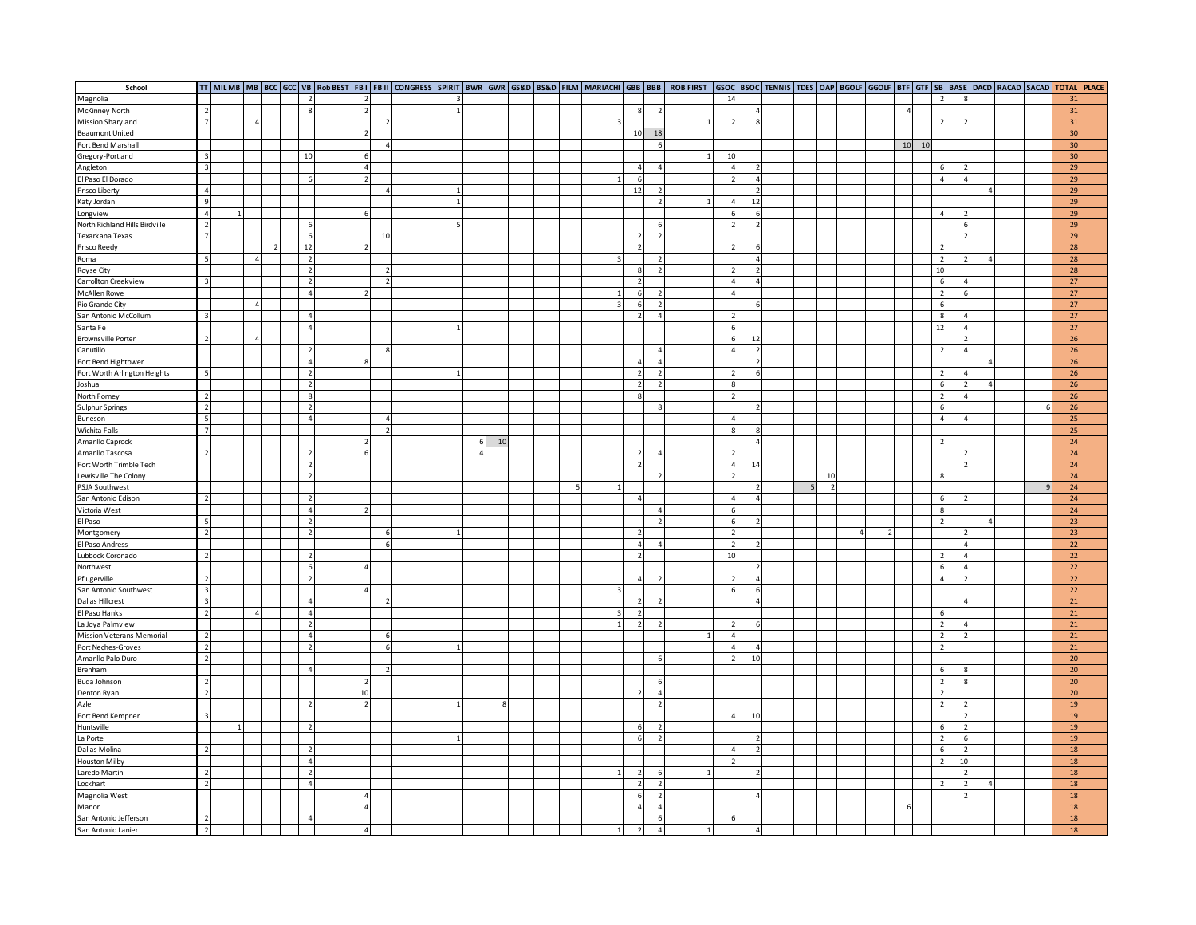| School                         |                                  |   |  |                          |                |                                |                |  |          |    |  |                |                          |                          |                          |                          |  |    |  |                |                                  |                 |                |  | TT   MILMB   MB   BCC   GCC   VB  RobBEST   FB II   FB II   CONGRESS   SPIRIT   BWR   GWR   GS&D   BS&D   FILM   MARIACHI   GBB   BOB   ROB FIRST   GSOC   BSOC   TENNIS   TDES   OAP   BGOLF   GGOLF   BTF   GTF   SB   BASE |
|--------------------------------|----------------------------------|---|--|--------------------------|----------------|--------------------------------|----------------|--|----------|----|--|----------------|--------------------------|--------------------------|--------------------------|--------------------------|--|----|--|----------------|----------------------------------|-----------------|----------------|--|-------------------------------------------------------------------------------------------------------------------------------------------------------------------------------------------------------------------------------|
| Magnolia                       |                                  |   |  | $\overline{z}$           |                |                                |                |  |          |    |  |                |                          |                          | 14                       |                          |  |    |  |                | $\overline{z}$                   |                 |                |  | 31                                                                                                                                                                                                                            |
| McKinney North                 | $\overline{2}$                   |   |  | 8 <sup>1</sup>           |                | $\overline{z}$                 |                |  |          |    |  |                |                          | $\overline{\phantom{a}}$ |                          | $\Delta$                 |  |    |  | $\overline{a}$ |                                  |                 |                |  | 31                                                                                                                                                                                                                            |
| Mission Sharyland              | $\overline{7}$                   | 4 |  |                          |                |                                |                |  |          |    |  |                |                          |                          | $\overline{z}$           | $\mathbf{R}$             |  |    |  |                | $\overline{z}$                   | $\overline{z}$  |                |  | 31                                                                                                                                                                                                                            |
| <b>Beaumont United</b>         |                                  |   |  |                          |                |                                |                |  |          |    |  |                | 10                       | 18                       |                          |                          |  |    |  |                |                                  |                 |                |  | 30                                                                                                                                                                                                                            |
| Fort Bend Marshall             |                                  |   |  |                          |                |                                |                |  |          |    |  |                |                          |                          |                          |                          |  |    |  | $10$<br>10     |                                  |                 |                |  | 30                                                                                                                                                                                                                            |
| Gregory-Portland               | $\overline{\mathbf{z}}$          |   |  | 10                       |                | $\mathbf{6}$                   |                |  |          |    |  |                |                          |                          | 10                       |                          |  |    |  |                |                                  |                 |                |  | 30                                                                                                                                                                                                                            |
| Angleton                       | $\overline{\mathbf{3}}$          |   |  |                          |                | $\Delta$                       |                |  |          |    |  |                | $\Delta$                 | $\Lambda$                | $\Delta$                 |                          |  |    |  |                | $\epsilon$                       |                 |                |  | 29                                                                                                                                                                                                                            |
| El Paso El Dorado              |                                  |   |  | 6                        |                | $\overline{ }$                 |                |  |          |    |  | $\mathbf{1}$   |                          |                          | $\overline{\phantom{a}}$ | $\overline{4}$           |  |    |  |                | $\overline{4}$                   | $\overline{4}$  |                |  | 29                                                                                                                                                                                                                            |
|                                | $\overline{4}$                   |   |  |                          |                |                                | $\Lambda$      |  |          |    |  |                | 12                       |                          |                          | $\overline{ }$           |  |    |  |                |                                  |                 | $\overline{A}$ |  | 29                                                                                                                                                                                                                            |
| Frisco Liberty                 | 9                                |   |  |                          |                |                                |                |  |          |    |  |                |                          |                          | $\Delta$                 | 12                       |  |    |  |                |                                  |                 |                |  | 29                                                                                                                                                                                                                            |
| Katy Jordan                    |                                  |   |  |                          |                |                                |                |  |          |    |  |                |                          |                          |                          |                          |  |    |  |                |                                  |                 |                |  |                                                                                                                                                                                                                               |
| Longview                       | $\overline{4}$                   |   |  |                          |                |                                |                |  |          |    |  |                |                          |                          | 6                        | 6<br>$\overline{ }$      |  |    |  |                | $\overline{4}$                   | $\overline{2}$  |                |  | 29                                                                                                                                                                                                                            |
| North Richland Hills Birdville | $\overline{\phantom{a}}$         |   |  |                          |                |                                |                |  |          |    |  |                |                          |                          | $\overline{ }$           |                          |  |    |  |                |                                  | $6\overline{6}$ |                |  | 29                                                                                                                                                                                                                            |
| Texarkana Texas                |                                  |   |  | 6                        |                |                                | 10             |  |          |    |  |                |                          |                          |                          |                          |  |    |  |                |                                  | $\overline{2}$  |                |  | 29                                                                                                                                                                                                                            |
| Frisco Reedy                   |                                  |   |  | 12                       |                |                                |                |  |          |    |  |                |                          |                          | $\overline{\phantom{a}}$ | 6                        |  |    |  |                | -2                               |                 |                |  | 28                                                                                                                                                                                                                            |
| Roma                           | - 5                              |   |  | $\overline{2}$           |                |                                |                |  |          |    |  |                |                          |                          |                          | $\overline{4}$           |  |    |  |                | $\overline{2}$                   | $\overline{2}$  |                |  | 28                                                                                                                                                                                                                            |
| Royse City                     |                                  |   |  | $\overline{z}$           |                |                                |                |  |          |    |  |                |                          | $\overline{ }$           | $\mathcal{D}$            | $\overline{ }$           |  |    |  |                | 10                               |                 |                |  | 28                                                                                                                                                                                                                            |
| Carrollton Creekview           | $\overline{\mathbf{3}}$          |   |  | $\overline{2}$           |                |                                | $\overline{2}$ |  |          |    |  |                | $\overline{\phantom{0}}$ |                          | $\overline{4}$           | $\overline{4}$           |  |    |  |                | 6                                | $\overline{4}$  |                |  | 27                                                                                                                                                                                                                            |
| <b>McAllen Rowe</b>            |                                  |   |  | $\overline{4}$           |                |                                |                |  |          |    |  | 1              | -6                       | $\overline{z}$           | $\overline{4}$           |                          |  |    |  |                | $\overline{2}$                   | 6               |                |  | 27                                                                                                                                                                                                                            |
| Rio Grande City                |                                  |   |  |                          |                |                                |                |  |          |    |  | 3              |                          | $\overline{\phantom{a}}$ |                          | 6                        |  |    |  |                | 6                                |                 |                |  | 27                                                                                                                                                                                                                            |
| San Antonio McCollum           | $\overline{\mathbf{z}}$          |   |  | $\Delta$                 |                |                                |                |  |          |    |  |                |                          | $\lambda$                | $\mathbf{a}$             |                          |  |    |  |                | 8                                | $\Delta$        |                |  | 27                                                                                                                                                                                                                            |
| Santa Fe                       |                                  |   |  | $\overline{4}$           |                |                                |                |  |          |    |  |                |                          |                          | 6                        |                          |  |    |  |                | 12                               | $\overline{4}$  |                |  | 27                                                                                                                                                                                                                            |
| <b>Brownsville Porter</b>      | $\overline{2}$                   |   |  |                          |                |                                |                |  |          |    |  |                |                          |                          | 6                        | 12                       |  |    |  |                |                                  | $\overline{2}$  |                |  | 26                                                                                                                                                                                                                            |
| Canutillo                      |                                  |   |  | $\overline{2}$           |                |                                | 8              |  |          |    |  |                |                          | $\overline{4}$           | $\overline{4}$           | $\overline{\phantom{a}}$ |  |    |  |                | $\overline{z}$                   | $\overline{4}$  |                |  | 26                                                                                                                                                                                                                            |
| Fort Bend Hightower            |                                  |   |  | $\overline{4}$           |                |                                |                |  |          |    |  |                |                          | $\overline{4}$           |                          | $\overline{z}$           |  |    |  |                |                                  |                 | $\Delta$       |  | 26                                                                                                                                                                                                                            |
| Fort Worth Arlington Heights   |                                  |   |  | $\overline{2}$           |                |                                |                |  |          |    |  |                |                          |                          | $\overline{\phantom{a}}$ | 6                        |  |    |  |                | $\overline{\phantom{a}}$         | 4 <sup>1</sup>  |                |  | 26                                                                                                                                                                                                                            |
| Joshua                         |                                  |   |  | $\overline{2}$           |                |                                |                |  |          |    |  |                |                          |                          | 8                        |                          |  |    |  |                | $\epsilon$                       | $\overline{2}$  | $\overline{A}$ |  | 26                                                                                                                                                                                                                            |
| North Forney                   | $\overline{2}$                   |   |  | 8                        |                |                                |                |  |          |    |  |                |                          |                          | $\overline{\phantom{a}}$ |                          |  |    |  |                | $\overline{z}$                   | 4 <sup>1</sup>  |                |  | 26                                                                                                                                                                                                                            |
| Sulphur Springs                | $\overline{2}$                   |   |  | $\overline{z}$           |                |                                |                |  |          |    |  |                |                          |                          |                          |                          |  |    |  |                | 6                                |                 |                |  | 26                                                                                                                                                                                                                            |
| Burleson                       | 5                                |   |  | $\overline{4}$           |                |                                | $\overline{4}$ |  |          |    |  |                |                          |                          | $\overline{4}$           |                          |  |    |  |                | $\overline{a}$                   | $\overline{4}$  |                |  | 25                                                                                                                                                                                                                            |
| Wichita Falls                  | $\overline{7}$                   |   |  |                          |                |                                | $\overline{z}$ |  |          |    |  |                |                          |                          | 8                        | 8                        |  |    |  |                |                                  |                 |                |  | 25                                                                                                                                                                                                                            |
| Amarillo Caprock               |                                  |   |  |                          |                |                                |                |  | 6        | 10 |  |                |                          |                          |                          | $\Delta$                 |  |    |  |                |                                  |                 |                |  | 24                                                                                                                                                                                                                            |
| Amarillo Tascosa               | $\overline{2}$                   |   |  |                          | $\overline{2}$ | 6                              |                |  | $\Delta$ |    |  |                |                          | $\overline{4}$           | $\overline{2}$           |                          |  |    |  |                |                                  | $\overline{2}$  |                |  | 24                                                                                                                                                                                                                            |
| Fort Worth Trimble Tech        |                                  |   |  | $\overline{z}$           |                |                                |                |  |          |    |  |                |                          |                          | $\overline{4}$           | 14                       |  |    |  |                |                                  | $\overline{z}$  |                |  | 24                                                                                                                                                                                                                            |
| Lewisville The Colony          |                                  |   |  |                          | $\overline{2}$ |                                |                |  |          |    |  |                |                          |                          | $\overline{\phantom{a}}$ |                          |  | 10 |  |                |                                  |                 |                |  | 24                                                                                                                                                                                                                            |
| PSJA Southwest                 |                                  |   |  |                          |                |                                |                |  |          |    |  |                |                          |                          |                          | $\overline{2}$           |  |    |  |                |                                  |                 |                |  | 24                                                                                                                                                                                                                            |
| San Antonio Edison             | $\overline{2}$                   |   |  | $\overline{z}$           |                |                                |                |  |          |    |  |                | $\overline{4}$           |                          | $\overline{4}$           |                          |  |    |  |                | 6                                | $\overline{z}$  |                |  | 24                                                                                                                                                                                                                            |
| Victoria West                  |                                  |   |  | $\overline{4}$           |                |                                |                |  |          |    |  |                |                          | $\Lambda$                | 6                        |                          |  |    |  |                | -8                               |                 |                |  | 24                                                                                                                                                                                                                            |
| El Paso                        | -51                              |   |  | $\overline{2}$           |                |                                |                |  |          |    |  |                |                          | $\overline{z}$           | 6                        | $\overline{\phantom{a}}$ |  |    |  |                | 2                                |                 | $\overline{a}$ |  | 23                                                                                                                                                                                                                            |
| Montgomery                     | $\overline{2}$                   |   |  | $\overline{2}$           |                |                                | -6             |  |          |    |  |                |                          |                          | $\overline{z}$           |                          |  |    |  |                |                                  | $\overline{z}$  |                |  | 23                                                                                                                                                                                                                            |
| El Paso Andress                |                                  |   |  |                          |                |                                | 6              |  |          |    |  |                | 4                        |                          | $\overline{\phantom{a}}$ | $\overline{z}$           |  |    |  |                |                                  | $\overline{a}$  |                |  | 22                                                                                                                                                                                                                            |
| Lubbock Coronado               | $\overline{2}$                   |   |  | $\overline{z}$           |                |                                |                |  |          |    |  |                |                          |                          | 10                       |                          |  |    |  |                | -2                               | $\overline{4}$  |                |  | 22                                                                                                                                                                                                                            |
| Northwest                      |                                  |   |  | $\overline{6}$           |                |                                |                |  |          |    |  |                |                          |                          |                          | $\overline{ }$           |  |    |  |                | $\epsilon$                       | $\overline{4}$  |                |  | 22                                                                                                                                                                                                                            |
| Pflugerville                   | $\overline{2}$                   |   |  | $\overline{2}$           |                |                                |                |  |          |    |  |                | $\Delta$                 |                          | $\overline{2}$           | $\lambda$                |  |    |  |                | $\overline{a}$                   | $\overline{z}$  |                |  | 22                                                                                                                                                                                                                            |
| San Antonio Southwest          | $\overline{\mathbf{3}}$          |   |  |                          |                |                                |                |  |          |    |  |                |                          |                          | 6                        | 6                        |  |    |  |                |                                  |                 |                |  | 22                                                                                                                                                                                                                            |
| <b>Dallas Hillcrest</b>        | $\overline{\mathbf{3}}$          |   |  | $\overline{a}$           |                |                                |                |  |          |    |  |                |                          |                          |                          | $\overline{4}$           |  |    |  |                |                                  | $\overline{a}$  |                |  | 21                                                                                                                                                                                                                            |
| El Paso Hanks                  | $\overline{2}$                   |   |  | $\overline{a}$           |                |                                |                |  |          |    |  | ર              |                          |                          |                          |                          |  |    |  |                |                                  |                 |                |  | 21                                                                                                                                                                                                                            |
| La Joya Palmview               |                                  |   |  | $\overline{2}$           |                |                                |                |  |          |    |  | $\mathbf{1}$   |                          |                          | $\overline{2}$           | 6                        |  |    |  |                | $\overline{z}$                   | $\sqrt{4}$      |                |  | 21                                                                                                                                                                                                                            |
| Mission Veterans Memorial      | $\overline{2}$                   |   |  | $\overline{4}$           |                |                                |                |  |          |    |  |                |                          |                          | $\Delta$                 |                          |  |    |  |                | $\overline{2}$                   | $\overline{2}$  |                |  | 21                                                                                                                                                                                                                            |
| Port Neches-Groves             | $\overline{2}$                   |   |  |                          | $\overline{2}$ |                                |                |  |          |    |  |                |                          |                          | $\Delta$                 | $\Delta$                 |  |    |  |                | $\overline{z}$                   |                 |                |  | 21                                                                                                                                                                                                                            |
| Amarillo Palo Duro             | $\overline{2}$                   |   |  |                          |                |                                |                |  |          |    |  |                |                          |                          | $\overline{ }$           | 10                       |  |    |  |                |                                  |                 |                |  | $\overline{20}$                                                                                                                                                                                                               |
| Brenham                        |                                  |   |  | $\overline{4}$           |                |                                | $\overline{2}$ |  |          |    |  |                |                          |                          |                          |                          |  |    |  |                | 6                                | 8               |                |  | 20                                                                                                                                                                                                                            |
| Buda Johnson                   |                                  |   |  |                          |                |                                |                |  |          |    |  |                |                          |                          |                          |                          |  |    |  |                |                                  |                 |                |  |                                                                                                                                                                                                                               |
| Denton Ryan                    | $\overline{2}$<br>$\overline{2}$ |   |  |                          |                | $\overline{\phantom{a}}$<br>10 |                |  |          |    |  |                | $\overline{2}$           | -6<br>$\overline{4}$     |                          |                          |  |    |  |                | $\overline{2}$<br>$\overline{2}$ | 8               |                |  | 20<br>20                                                                                                                                                                                                                      |
|                                |                                  |   |  | $\overline{ }$           |                | $\overline{2}$                 |                |  |          |    |  |                |                          | $\overline{ }$           |                          |                          |  |    |  |                | $\overline{z}$                   |                 |                |  |                                                                                                                                                                                                                               |
| Azle                           |                                  |   |  |                          |                |                                |                |  |          |    |  |                |                          |                          |                          |                          |  |    |  |                |                                  | $\overline{2}$  |                |  | 19                                                                                                                                                                                                                            |
| Fort Bend Kempner              | $\overline{3}$                   |   |  |                          |                |                                |                |  |          |    |  |                |                          |                          | 4                        | 10                       |  |    |  |                |                                  | $\overline{2}$  |                |  | 19                                                                                                                                                                                                                            |
| Huntsville                     |                                  |   |  | $\overline{\phantom{a}}$ |                |                                |                |  |          |    |  |                |                          |                          |                          |                          |  |    |  |                |                                  | $\overline{2}$  |                |  | 19                                                                                                                                                                                                                            |
| La Porte                       |                                  |   |  |                          |                |                                |                |  |          |    |  |                |                          |                          |                          |                          |  |    |  |                | J.                               | $\overline{6}$  |                |  | 19                                                                                                                                                                                                                            |
| Dallas Molina                  | $\overline{\phantom{a}}$         |   |  |                          |                |                                |                |  |          |    |  |                |                          |                          |                          |                          |  |    |  |                | 6                                | $\overline{2}$  |                |  | 18                                                                                                                                                                                                                            |
| Houston Milby                  |                                  |   |  | $\overline{a}$           |                |                                |                |  |          |    |  |                |                          |                          | $\overline{\phantom{a}}$ |                          |  |    |  |                | $\overline{z}$                   | 10              |                |  | 18                                                                                                                                                                                                                            |
| Laredo Martin                  | $\overline{2}$                   |   |  | $\overline{2}$           |                |                                |                |  |          |    |  |                |                          |                          |                          |                          |  |    |  |                |                                  | $\overline{2}$  |                |  | 18                                                                                                                                                                                                                            |
| Lockhart                       | $\overline{z}$                   |   |  | $\Delta$                 |                |                                |                |  |          |    |  |                |                          | $\overline{z}$           |                          |                          |  |    |  |                |                                  | $\overline{2}$  | $\Delta$       |  | 18                                                                                                                                                                                                                            |
| Magnolia West                  |                                  |   |  |                          |                |                                |                |  |          |    |  |                |                          | $\overline{\phantom{0}}$ |                          |                          |  |    |  |                |                                  | $\overline{2}$  |                |  | 18                                                                                                                                                                                                                            |
| Manor                          |                                  |   |  |                          |                |                                |                |  |          |    |  |                | $\Delta$                 | $\overline{4}$           |                          |                          |  |    |  |                |                                  |                 |                |  | 18                                                                                                                                                                                                                            |
| San Antonio Jefferson          | $\overline{2}$                   |   |  | $\overline{a}$           |                |                                |                |  |          |    |  |                |                          | -6                       | 6                        |                          |  |    |  |                |                                  |                 |                |  | 18                                                                                                                                                                                                                            |
| San Antonio Lanier             | $\overline{2}$                   |   |  |                          |                |                                |                |  |          |    |  | 1 <sup>1</sup> | $\overline{z}$           | $\overline{4}$           |                          | $\Delta$                 |  |    |  |                |                                  |                 |                |  | 18                                                                                                                                                                                                                            |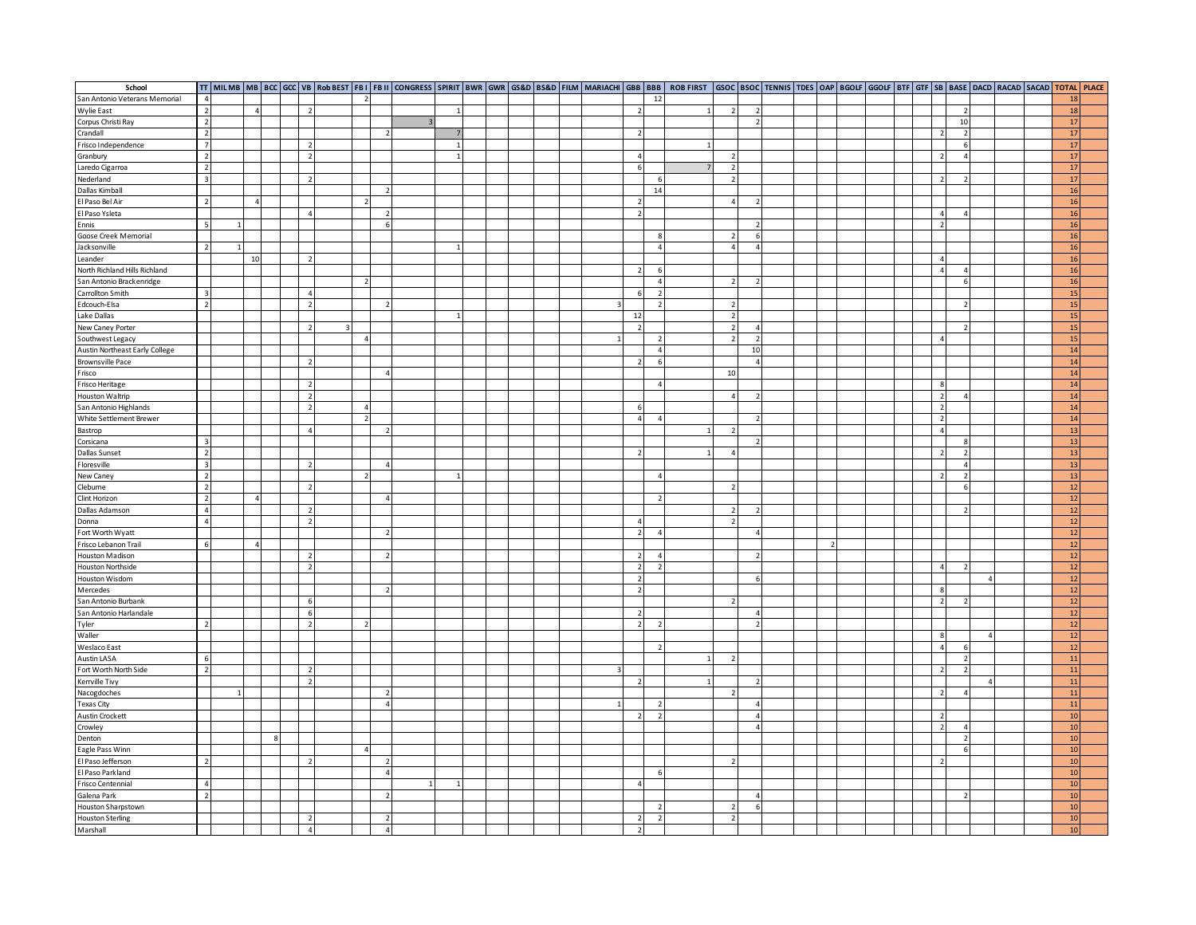| School                           |                         |                |  |                          |  |                |  |  |  |   |                          |                          |              |                          |                          |  |  |  |                          |                          |                |  | TT   MILMB   MB   BCC   GCC   VB   RObBEST   FB     FB      CONGRESS   SPIRIT   BWR   GWR   GS&D   BS&D   FILM  MARIACHI   GBB   BBB   ROB FIRST   GSOC   BTOL   ENOC   BOOF   GGOL   BTF   GTF   SB   BASE   DACD   RACAD   S |
|----------------------------------|-------------------------|----------------|--|--------------------------|--|----------------|--|--|--|---|--------------------------|--------------------------|--------------|--------------------------|--------------------------|--|--|--|--------------------------|--------------------------|----------------|--|--------------------------------------------------------------------------------------------------------------------------------------------------------------------------------------------------------------------------------|
| San Antonio Veterans Memorial    | $\overline{4}$          |                |  |                          |  |                |  |  |  |   |                          | 12                       |              |                          |                          |  |  |  |                          |                          |                |  | 18                                                                                                                                                                                                                             |
| <b>Wylie East</b>                | $\overline{z}$          | $\Lambda$      |  |                          |  |                |  |  |  |   |                          |                          |              |                          |                          |  |  |  |                          | $\overline{z}$           |                |  | 18                                                                                                                                                                                                                             |
| Corpus Christi Ray               | $\overline{2}$          |                |  |                          |  |                |  |  |  |   |                          |                          |              |                          |                          |  |  |  |                          | 10                       |                |  | 17                                                                                                                                                                                                                             |
| Crandall                         | $\overline{2}$          |                |  |                          |  |                |  |  |  |   |                          |                          |              |                          |                          |  |  |  | $\overline{z}$           | $\overline{2}$           |                |  | 17                                                                                                                                                                                                                             |
| Frisco Independence              | $\overline{7}$          |                |  | $\overline{z}$           |  |                |  |  |  |   |                          |                          |              |                          |                          |  |  |  |                          | $6\overline{6}$          |                |  | 17                                                                                                                                                                                                                             |
| Granbury                         | $\overline{2}$          |                |  | $\overline{z}$           |  |                |  |  |  |   |                          |                          |              | $\overline{\phantom{a}}$ |                          |  |  |  |                          | $\overline{4}$           |                |  | 17                                                                                                                                                                                                                             |
|                                  | $\overline{2}$          |                |  |                          |  |                |  |  |  |   | -6                       |                          |              | $\overline{\phantom{a}}$ |                          |  |  |  |                          |                          |                |  | 17                                                                                                                                                                                                                             |
| Laredo Cigarroa                  |                         |                |  |                          |  |                |  |  |  |   |                          |                          |              |                          |                          |  |  |  |                          |                          |                |  |                                                                                                                                                                                                                                |
| Nederland                        | $\overline{\mathbf{3}}$ |                |  | $\overline{2}$           |  |                |  |  |  |   |                          |                          |              | $\overline{\phantom{a}}$ |                          |  |  |  | $\overline{z}$           | $\overline{z}$           |                |  | 17                                                                                                                                                                                                                             |
| Dallas Kimball                   |                         |                |  |                          |  |                |  |  |  |   |                          | $14$                     |              |                          |                          |  |  |  |                          |                          |                |  | 16                                                                                                                                                                                                                             |
| El Paso Bel Air                  | $\overline{2}$          | $\Delta$       |  |                          |  |                |  |  |  |   |                          |                          |              | $\overline{4}$           | $\overline{\phantom{a}}$ |  |  |  |                          |                          |                |  | 16                                                                                                                                                                                                                             |
| El Paso Ysleta                   |                         |                |  | $\overline{A}$           |  | $\overline{z}$ |  |  |  |   |                          |                          |              |                          |                          |  |  |  | $\overline{4}$           | $\overline{a}$           |                |  | 16                                                                                                                                                                                                                             |
| Ennis                            | $\mathbf{r}_i$          |                |  |                          |  |                |  |  |  |   |                          |                          |              |                          | $\overline{2}$           |  |  |  | $\overline{z}$           |                          |                |  | 16                                                                                                                                                                                                                             |
| Goose Creek Memorial             |                         |                |  |                          |  |                |  |  |  |   |                          | - 5                      |              | $\overline{ }$           | 6                        |  |  |  |                          |                          |                |  | <b>16</b>                                                                                                                                                                                                                      |
| Jacksonville                     | $\overline{2}$          |                |  |                          |  |                |  |  |  |   |                          |                          |              | $\overline{a}$           |                          |  |  |  |                          |                          |                |  | 16                                                                                                                                                                                                                             |
| Leander                          |                         | 10             |  |                          |  |                |  |  |  |   |                          |                          |              |                          |                          |  |  |  | $\Delta$                 |                          |                |  | 16                                                                                                                                                                                                                             |
| North Richland Hills Richland    |                         |                |  |                          |  |                |  |  |  |   | $\overline{2}$           |                          |              |                          |                          |  |  |  | $\overline{A}$           | 4 <sup>1</sup>           |                |  | 16                                                                                                                                                                                                                             |
| San Antonio Brackenridge         |                         |                |  |                          |  |                |  |  |  |   |                          | $\overline{4}$           |              | $\overline{2}$           |                          |  |  |  |                          | 6                        |                |  | 16                                                                                                                                                                                                                             |
| Carrollton Smith                 | $\overline{3}$          |                |  | $\Delta$                 |  |                |  |  |  |   |                          | $\overline{z}$           |              |                          |                          |  |  |  |                          |                          |                |  | 15                                                                                                                                                                                                                             |
| Edcouch-Elsa                     | $\overline{2}$          |                |  | $\overline{z}$           |  |                |  |  |  |   |                          | $\overline{2}$           |              | $\overline{\phantom{a}}$ |                          |  |  |  |                          | $\overline{z}$           |                |  | 15                                                                                                                                                                                                                             |
| Lake Dallas                      |                         |                |  |                          |  |                |  |  |  |   | 12                       |                          |              | $\overline{z}$           |                          |  |  |  |                          |                          |                |  | 15                                                                                                                                                                                                                             |
| New Caney Porter                 |                         |                |  | $\overline{z}$           |  |                |  |  |  |   |                          |                          |              | $\overline{2}$           |                          |  |  |  |                          | $\overline{\phantom{a}}$ |                |  | 15                                                                                                                                                                                                                             |
|                                  |                         |                |  |                          |  |                |  |  |  | 1 |                          |                          |              | $\overline{z}$           | $\overline{2}$           |  |  |  | $\Delta$                 |                          |                |  | 15                                                                                                                                                                                                                             |
| Southwest Legacy                 |                         |                |  |                          |  |                |  |  |  |   |                          |                          |              |                          |                          |  |  |  |                          |                          |                |  |                                                                                                                                                                                                                                |
| Austin Northeast Early College   |                         |                |  |                          |  |                |  |  |  |   |                          | $\overline{4}$           |              |                          | 10                       |  |  |  |                          |                          |                |  | 14                                                                                                                                                                                                                             |
| Brownsville Pace                 |                         |                |  | $\overline{z}$           |  |                |  |  |  |   |                          | 6                        |              |                          | $\overline{A}$           |  |  |  |                          |                          |                |  | 14                                                                                                                                                                                                                             |
| Frisco                           |                         |                |  |                          |  | $\overline{4}$ |  |  |  |   |                          |                          |              | 10                       |                          |  |  |  |                          |                          |                |  | 14                                                                                                                                                                                                                             |
| Frisco Heritage                  |                         |                |  | $\overline{\phantom{a}}$ |  |                |  |  |  |   |                          | $\Delta$                 |              |                          |                          |  |  |  | 8                        |                          |                |  | 14                                                                                                                                                                                                                             |
| <b>Houston Waltrip</b>           |                         |                |  | $\overline{z}$           |  |                |  |  |  |   |                          |                          |              | $\overline{A}$           | $\overline{z}$           |  |  |  | $\overline{2}$           | 4 <sup>1</sup>           |                |  | 14                                                                                                                                                                                                                             |
| San Antonio Highlands            |                         |                |  | $\overline{ }$           |  |                |  |  |  |   | $\epsilon$               |                          |              |                          |                          |  |  |  | $\overline{z}$           |                          |                |  | 14                                                                                                                                                                                                                             |
| White Settlement Brewer          |                         |                |  |                          |  |                |  |  |  |   | $\overline{a}$           | $\Delta$                 |              |                          |                          |  |  |  | $\overline{z}$           |                          |                |  | 14                                                                                                                                                                                                                             |
| Bastrop                          |                         |                |  | $\Delta$                 |  |                |  |  |  |   |                          |                          | $\mathbf{1}$ | $\overline{\phantom{a}}$ |                          |  |  |  | $\overline{4}$           |                          |                |  | 13                                                                                                                                                                                                                             |
| Corsicana                        | $\overline{\mathbf{3}}$ |                |  |                          |  |                |  |  |  |   |                          |                          |              |                          |                          |  |  |  |                          | $\mathbf{g}$             |                |  | 13                                                                                                                                                                                                                             |
| Dallas Sunset                    | $\overline{2}$          |                |  |                          |  |                |  |  |  |   |                          |                          | 1            | $\overline{4}$           |                          |  |  |  | $\overline{2}$           | $\overline{2}$           |                |  | 13                                                                                                                                                                                                                             |
| Floresville                      | $\overline{3}$          |                |  | $\overline{z}$           |  |                |  |  |  |   |                          |                          |              |                          |                          |  |  |  |                          | $\overline{4}$           |                |  | 13                                                                                                                                                                                                                             |
| New Caney                        | $\overline{2}$          |                |  |                          |  |                |  |  |  |   |                          |                          |              |                          |                          |  |  |  |                          | $\overline{2}$           |                |  | 13                                                                                                                                                                                                                             |
| Cleburne                         | $\overline{2}$          |                |  | $\overline{z}$           |  |                |  |  |  |   |                          |                          |              | $\overline{z}$           |                          |  |  |  |                          | $\overline{6}$           |                |  | 12                                                                                                                                                                                                                             |
| Clint Horizon                    | $\overline{2}$          |                |  |                          |  | $\overline{4}$ |  |  |  |   |                          |                          |              |                          |                          |  |  |  |                          |                          |                |  | 12                                                                                                                                                                                                                             |
| Dallas Adamson                   | $\overline{a}$          |                |  | $\overline{z}$           |  |                |  |  |  |   |                          |                          |              | $\overline{z}$           |                          |  |  |  |                          | $\overline{\phantom{a}}$ |                |  | 12                                                                                                                                                                                                                             |
|                                  | $\overline{4}$          |                |  | $\overline{2}$           |  |                |  |  |  |   | $\overline{4}$           |                          |              | $\overline{z}$           |                          |  |  |  |                          |                          |                |  | 12                                                                                                                                                                                                                             |
| Donna                            |                         |                |  |                          |  |                |  |  |  |   | $\overline{2}$           |                          |              |                          |                          |  |  |  |                          |                          |                |  |                                                                                                                                                                                                                                |
| Fort Worth Wyatt                 |                         |                |  |                          |  | $\overline{z}$ |  |  |  |   |                          | $\Delta$                 |              |                          |                          |  |  |  |                          |                          |                |  | 12                                                                                                                                                                                                                             |
| Frisco Lebanon Trail             | 6                       | $\overline{4}$ |  |                          |  |                |  |  |  |   |                          |                          |              |                          |                          |  |  |  |                          |                          |                |  | 12                                                                                                                                                                                                                             |
| Houston Madison                  |                         |                |  | $\overline{\phantom{a}}$ |  |                |  |  |  |   | $\overline{z}$           | $\Delta$                 |              |                          | $\overline{\phantom{a}}$ |  |  |  |                          |                          |                |  | 12                                                                                                                                                                                                                             |
| Houston Northside                |                         |                |  | $\overline{2}$           |  |                |  |  |  |   | $\overline{\phantom{a}}$ |                          |              |                          |                          |  |  |  |                          | Þ                        |                |  | 12                                                                                                                                                                                                                             |
| Houston Wisdom                   |                         |                |  |                          |  |                |  |  |  |   |                          |                          |              |                          | 6                        |  |  |  |                          |                          | $\Delta$       |  | 12                                                                                                                                                                                                                             |
| Mercedes                         |                         |                |  |                          |  |                |  |  |  |   | $\overline{2}$           |                          |              |                          |                          |  |  |  | 8                        |                          |                |  | 12                                                                                                                                                                                                                             |
| San Antonio Burbank              |                         |                |  | 6                        |  |                |  |  |  |   |                          |                          |              | $\overline{z}$           |                          |  |  |  | $\overline{2}$           | $\overline{z}$           |                |  | 12                                                                                                                                                                                                                             |
| San Antonio Harlandale           |                         |                |  | $6\overline{6}$          |  |                |  |  |  |   | $\overline{2}$           |                          |              |                          | $\Delta$                 |  |  |  |                          |                          |                |  | 12                                                                                                                                                                                                                             |
| Tyler                            | $\overline{2}$          |                |  | $\overline{2}$           |  |                |  |  |  |   | $\overline{z}$           | $\overline{\phantom{0}}$ |              |                          |                          |  |  |  |                          |                          |                |  | 12                                                                                                                                                                                                                             |
| Waller                           |                         |                |  |                          |  |                |  |  |  |   |                          |                          |              |                          |                          |  |  |  |                          |                          | $\overline{A}$ |  | 12                                                                                                                                                                                                                             |
| Weslaco East                     |                         |                |  |                          |  |                |  |  |  |   |                          |                          |              |                          |                          |  |  |  | $\overline{a}$           | 6                        |                |  | 12                                                                                                                                                                                                                             |
| <b>Austin LASA</b>               | -6                      |                |  |                          |  |                |  |  |  |   |                          |                          |              |                          |                          |  |  |  |                          | $\overline{2}$           |                |  | 11                                                                                                                                                                                                                             |
| Fort Worth North Side            | $\overline{z}$          |                |  | $\overline{z}$           |  |                |  |  |  |   |                          |                          |              |                          |                          |  |  |  | $\overline{z}$           | $\overline{z}$           |                |  | 11                                                                                                                                                                                                                             |
| Kerrville Tivy                   |                         |                |  | $\overline{z}$           |  |                |  |  |  |   |                          |                          |              |                          |                          |  |  |  |                          |                          |                |  | 11                                                                                                                                                                                                                             |
|                                  |                         |                |  |                          |  | $\overline{z}$ |  |  |  |   |                          |                          |              | $\overline{z}$           |                          |  |  |  | $\overline{2}$           | $\overline{a}$           |                |  | 11                                                                                                                                                                                                                             |
| Nacogdoches<br><b>Texas City</b> |                         |                |  |                          |  | $\overline{4}$ |  |  |  |   |                          | $\overline{\phantom{a}}$ |              |                          | $\Lambda$                |  |  |  |                          |                          |                |  | 11                                                                                                                                                                                                                             |
|                                  |                         |                |  |                          |  |                |  |  |  |   |                          |                          |              |                          |                          |  |  |  |                          |                          |                |  |                                                                                                                                                                                                                                |
| Austin Crockett                  |                         |                |  |                          |  |                |  |  |  |   | $\mathcal{L}$            | $\overline{z}$           |              |                          | 4                        |  |  |  | $\overline{\phantom{a}}$ |                          |                |  | 10                                                                                                                                                                                                                             |
| Crowley                          |                         |                |  |                          |  |                |  |  |  |   |                          |                          |              |                          | $\Delta$                 |  |  |  | $\overline{z}$           | $\overline{4}$           |                |  | 10                                                                                                                                                                                                                             |
| Denton                           |                         |                |  |                          |  |                |  |  |  |   |                          |                          |              |                          |                          |  |  |  |                          | $\overline{\phantom{a}}$ |                |  | 10                                                                                                                                                                                                                             |
| Eagle Pass Winn                  |                         |                |  |                          |  |                |  |  |  |   |                          |                          |              |                          |                          |  |  |  |                          | 6                        |                |  | 10                                                                                                                                                                                                                             |
| El Paso Jefferson                | $\overline{2}$          |                |  |                          |  |                |  |  |  |   |                          |                          |              | $\overline{z}$           |                          |  |  |  |                          |                          |                |  | 10                                                                                                                                                                                                                             |
| El Paso Parkland                 |                         |                |  |                          |  | $\overline{4}$ |  |  |  |   |                          | 6                        |              |                          |                          |  |  |  |                          |                          |                |  | 10                                                                                                                                                                                                                             |
| Frisco Centennial                | $\Delta$                |                |  |                          |  |                |  |  |  |   |                          |                          |              |                          |                          |  |  |  |                          |                          |                |  | 10                                                                                                                                                                                                                             |
| Galena Park                      | $\overline{z}$          |                |  |                          |  |                |  |  |  |   |                          |                          |              |                          |                          |  |  |  |                          |                          |                |  | 10                                                                                                                                                                                                                             |
| Houston Sharpstown               |                         |                |  |                          |  |                |  |  |  |   |                          |                          |              |                          | 6                        |  |  |  |                          |                          |                |  | 10                                                                                                                                                                                                                             |
| <b>Houston Sterling</b>          |                         |                |  | $\overline{z}$           |  |                |  |  |  |   | $\overline{z}$           |                          |              | $\overline{\phantom{a}}$ |                          |  |  |  |                          |                          |                |  | 10 <sup>1</sup>                                                                                                                                                                                                                |
| Marshall                         |                         |                |  | $\overline{a}$           |  | $\overline{4}$ |  |  |  |   | $\overline{z}$           |                          |              |                          |                          |  |  |  |                          |                          |                |  | 10                                                                                                                                                                                                                             |
|                                  |                         |                |  |                          |  |                |  |  |  |   |                          |                          |              |                          |                          |  |  |  |                          |                          |                |  |                                                                                                                                                                                                                                |